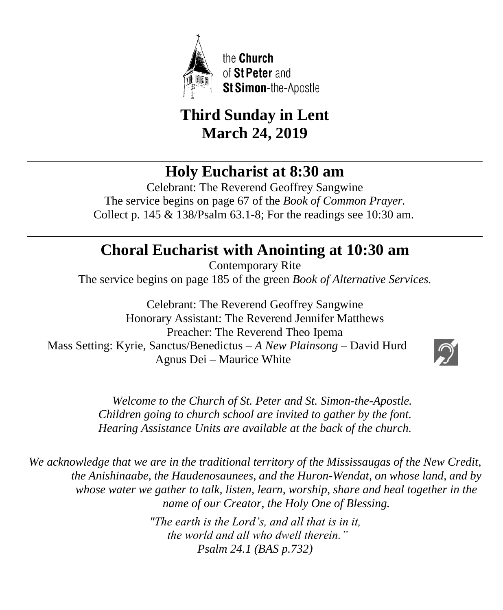

# **Third Sunday in Lent March 24, 2019**

# **Holy Eucharist at 8:30 am**

Celebrant: The Reverend Geoffrey Sangwine The service begins on page 67 of the *Book of Common Prayer.* Collect p. 145 & 138/Psalm 63.1-8; For the readings see 10:30 am.

# **Choral Eucharist with Anointing at 10:30 am**

Contemporary Rite The service begins on page 185 of the green *Book of Alternative Services.*

Celebrant: The Reverend Geoffrey Sangwine Honorary Assistant: The Reverend Jennifer Matthews Preacher: The Reverend Theo Ipema Mass Setting: Kyrie, Sanctus/Benedictus – *A New Plainsong* – David Hurd Agnus Dei – Maurice White



 *Welcome to the Church of St. Peter and St. Simon-the-Apostle. Children going to church school are invited to gather by the font. Hearing Assistance Units are available at the back of the church.*

*We acknowledge that we are in the traditional territory of the Mississaugas of the New Credit, the Anishinaabe, the Haudenosaunees, and the Huron-Wendat, on whose land, and by whose water we gather to talk, listen, learn, worship, share and heal together in the name of our Creator, the Holy One of Blessing.*

> *"The earth is the Lord's, and all that is in it, the world and all who dwell therein." Psalm 24.1 (BAS p.732)*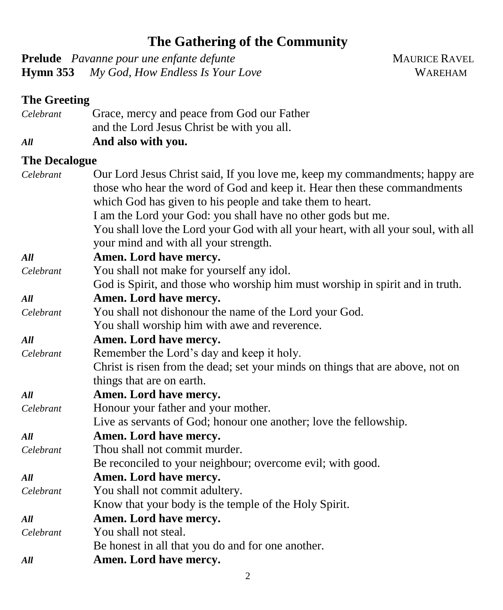# **The Gathering of the Community**

**Prelude** Pavanne pour une enfante defunte **MAURICE RAVEL Hymn 353** *My God, How Endless Is Your Love* WAREHAM

#### **The Greeting**

- *Celebrant* Grace, mercy and peace from God our Father and the Lord Jesus Christ be with you all.
- *All* **And also with you.**

#### **The Decalogue**

| Our Lord Jesus Christ said, If you love me, keep my commandments; happy are        |
|------------------------------------------------------------------------------------|
| those who hear the word of God and keep it. Hear then these commandments           |
| which God has given to his people and take them to heart.                          |
| I am the Lord your God: you shall have no other gods but me.                       |
| You shall love the Lord your God with all your heart, with all your soul, with all |
| your mind and with all your strength.                                              |
| Amen. Lord have mercy.                                                             |
| You shall not make for yourself any idol.                                          |
| God is Spirit, and those who worship him must worship in spirit and in truth.      |
| Amen. Lord have mercy.                                                             |
| You shall not dishonour the name of the Lord your God.                             |
| You shall worship him with awe and reverence.                                      |
| Amen. Lord have mercy.                                                             |
| Remember the Lord's day and keep it holy.                                          |
| Christ is risen from the dead; set your minds on things that are above, not on     |
| things that are on earth.                                                          |
| Amen. Lord have mercy.                                                             |
| Honour your father and your mother.                                                |
| Live as servants of God; honour one another; love the fellowship.                  |
| Amen. Lord have mercy.                                                             |
| Thou shall not commit murder.                                                      |
| Be reconciled to your neighbour; overcome evil; with good.                         |
| Amen. Lord have mercy.                                                             |
| You shall not commit adultery.                                                     |
| Know that your body is the temple of the Holy Spirit.                              |
| Amen. Lord have mercy.                                                             |
| You shall not steal.                                                               |
| Be honest in all that you do and for one another.                                  |
| Amen. Lord have mercy.                                                             |
|                                                                                    |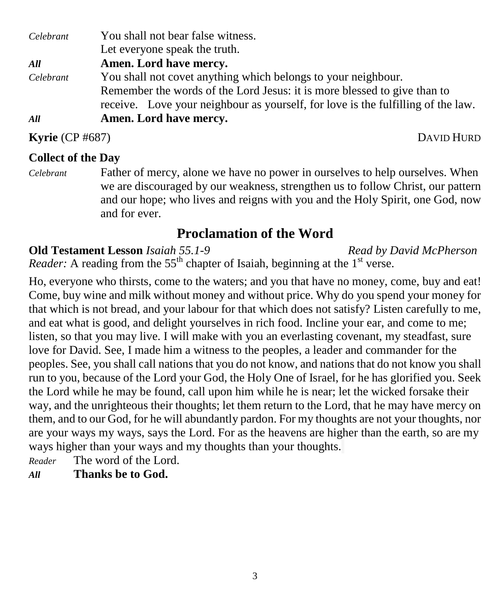*Celebrant* You shall not bear false witness. Let everyone speak the truth. *All* **Amen. Lord have mercy.** *Celebrant* You shall not covet anything which belongs to your neighbour. Remember the words of the Lord Jesus: it is more blessed to give than to receive. Love your neighbour as yourself, for love is the fulfilling of the law. *All* **Amen. Lord have mercy. Kyrie** (CP #687) DAVID HURD

# **Collect of the Day**

*Celebrant* Father of mercy, alone we have no power in ourselves to help ourselves. When we are discouraged by our weakness, strengthen us to follow Christ, our pattern and our hope; who lives and reigns with you and the Holy Spirit, one God, now and for ever.

# **Proclamation of the Word**

#### **Old Testament Lesson** *Isaiah 55.1-9**Read by David McPherson*

*Reader:* A reading from the  $55<sup>th</sup>$  chapter of Isaiah, beginning at the  $1<sup>st</sup>$  verse.

Ho, everyone who thirsts, come to the waters; and you that have no money, come, buy and eat! Come, buy wine and milk without money and without price. Why do you spend your money for that which is not bread, and your labour for that which does not satisfy? Listen carefully to me, and eat what is good, and delight yourselves in rich food. Incline your ear, and come to me; listen, so that you may live. I will make with you an everlasting covenant, my steadfast, sure love for David. See, I made him a witness to the peoples, a leader and commander for the peoples. See, you shall call nations that you do not know, and nations that do not know you shall run to you, because of the Lord your God, the Holy One of Israel, for he has glorified you. Seek the Lord while he may be found, call upon him while he is near; let the wicked forsake their way, and the unrighteous their thoughts; let them return to the Lord, that he may have mercy on them, and to our God, for he will abundantly pardon. For my thoughts are not your thoughts, nor are your ways my ways, says the Lord. For as the heavens are higher than the earth, so are my ways higher than your ways and my thoughts than your thoughts.

*Reader* The word of the Lord.

*All* **Thanks be to God.**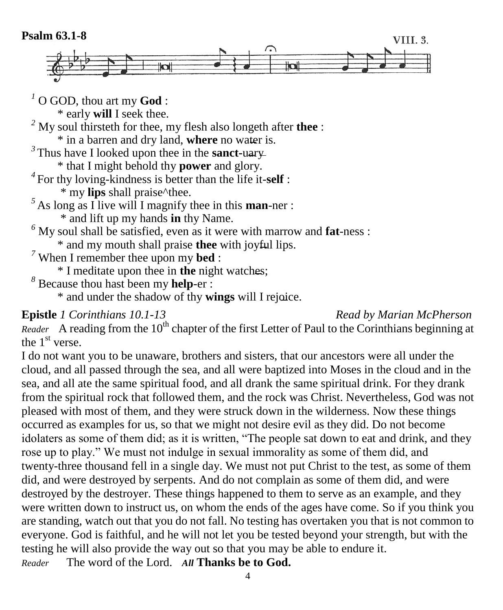# **Psalm 63.1-8 VIII. 3.**  $I$ lott

- *<sup>1</sup>* O GOD, thou art my **God** :
	- \* early **will** I seek thee.
- *<sup>2</sup>* My soul thirsteth for thee, my flesh also longeth after **thee** :
- \* in a barren and dry land, **where** no water is.
- *<sup>3</sup>*Thus have I looked upon thee in the **sanct-**uary
	- \* that I might behold thy **power** and glory.
- *<sup>4</sup>*For thy loving-kindness is better than the life it-**self** :
	- \* my **lips** shall praise^thee.
- $<sup>5</sup>$  As long as I live will I magnify thee in this **man-ner**:</sup>
	- \* and lift up my hands **in** thy Name.
- *<sup>6</sup>* My soul shall be satisfied, even as it were with marrow and **fat**-ness :
	- \* and my mouth shall praise **thee** with joyful lips.
- *<sup>7</sup>* When I remember thee upon my **bed** :
	- \* I meditate upon thee in **the** night watches;
- *<sup>8</sup>* Because thou hast been my **help**-er :
	- \* and under the shadow of thy **wings** will I rejoice.

# **Epistle** *1 Corinthians 10.1-13 Read by Marian McPherson*

*Reader* A reading from the 10<sup>th</sup> chapter of the first Letter of Paul to the Corinthians beginning at the  $1<sup>st</sup>$  verse.

I do not want you to be unaware, brothers and sisters, that our ancestors were all under the cloud, and all passed through the sea, and all were baptized into Moses in the cloud and in the sea, and all ate the same spiritual food, and all drank the same spiritual drink. For they drank from the spiritual rock that followed them, and the rock was Christ. Nevertheless, God was not pleased with most of them, and they were struck down in the wilderness. Now these things occurred as examples for us, so that we might not desire evil as they did. Do not become idolaters as some of them did; as it is written, "The people sat down to eat and drink, and they rose up to play." We must not indulge in sexual immorality as some of them did, and twenty-three thousand fell in a single day. We must not put Christ to the test, as some of them did, and were destroyed by serpents. And do not complain as some of them did, and were destroyed by the destroyer. These things happened to them to serve as an example, and they were written down to instruct us, on whom the ends of the ages have come. So if you think you are standing, watch out that you do not fall. No testing has overtaken you that is not common to everyone. God is faithful, and he will not let you be tested beyond your strength, but with the testing he will also provide the way out so that you may be able to endure it. *Reader* The word of the Lord. *All* **Thanks be to God.**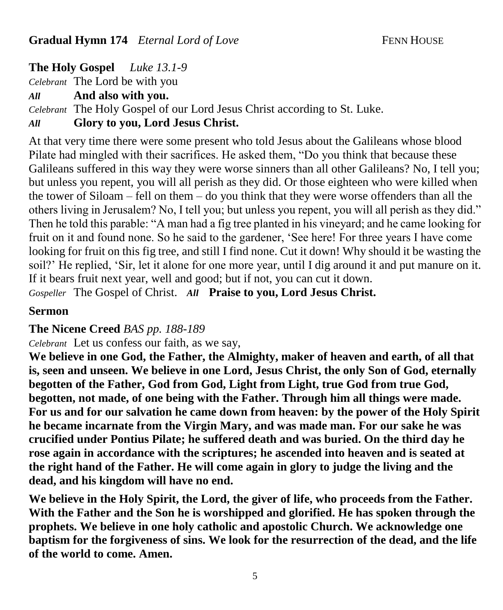# **The Holy Gospel** *Luke 13.1-9*

*Celebrant* The Lord be with you

*All* **And also with you.**

*Celebrant* The Holy Gospel of our Lord Jesus Christ according to St. Luke.

# *All* **Glory to you, Lord Jesus Christ.**

At that very time there were some present who told Jesus about the Galileans whose blood Pilate had mingled with their sacrifices. He asked them, "Do you think that because these Galileans suffered in this way they were worse sinners than all other Galileans? No, I tell you; but unless you repent, you will all perish as they did. Or those eighteen who were killed when the tower of Siloam – fell on them – do you think that they were worse offenders than all the others living in Jerusalem? No, I tell you; but unless you repent, you will all perish as they did." Then he told this parable: "A man had a fig tree planted in his vineyard; and he came looking for fruit on it and found none. So he said to the gardener, 'See here! For three years I have come looking for fruit on this fig tree, and still I find none. Cut it down! Why should it be wasting the soil?' He replied, 'Sir, let it alone for one more year, until I dig around it and put manure on it. If it bears fruit next year, well and good; but if not, you can cut it down.

*Gospeller* The Gospel of Christ. *All* **Praise to you, Lord Jesus Christ.**

# **Sermon**

# **The Nicene Creed** *BAS pp. 188-189*

*Celebrant* Let us confess our faith, as we say,

**We believe in one God, the Father, the Almighty, maker of heaven and earth, of all that is, seen and unseen. We believe in one Lord, Jesus Christ, the only Son of God, eternally begotten of the Father, God from God, Light from Light, true God from true God, begotten, not made, of one being with the Father. Through him all things were made. For us and for our salvation he came down from heaven: by the power of the Holy Spirit he became incarnate from the Virgin Mary, and was made man. For our sake he was crucified under Pontius Pilate; he suffered death and was buried. On the third day he rose again in accordance with the scriptures; he ascended into heaven and is seated at the right hand of the Father. He will come again in glory to judge the living and the dead, and his kingdom will have no end.** 

**We believe in the Holy Spirit, the Lord, the giver of life, who proceeds from the Father. With the Father and the Son he is worshipped and glorified. He has spoken through the prophets. We believe in one holy catholic and apostolic Church. We acknowledge one baptism for the forgiveness of sins. We look for the resurrection of the dead, and the life of the world to come. Amen.**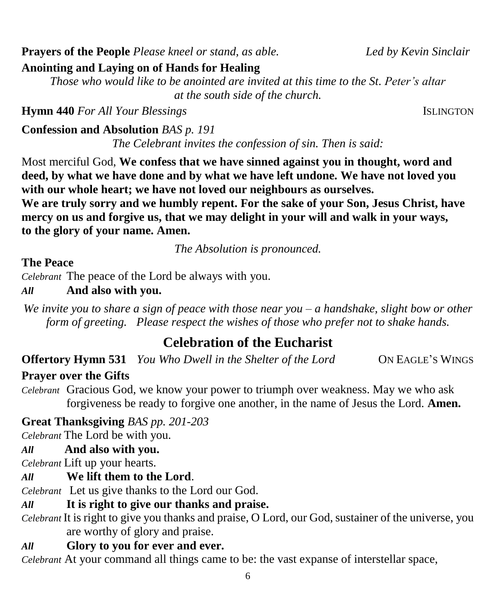**Prayers of the People** *Please kneel or stand, as able. Led by Kevin Sinclair*

## **Anointing and Laying on of Hands for Healing**

*Those who would like to be anointed are invited at this time to the St. Peter's altar at the south side of the church.*

**Hymn 440** *For All Your Blessings* **ISLINGTON** 

**Confession and Absolution** *BAS p. 191 The Celebrant invites the confession of sin. Then is said:*

Most merciful God, **We confess that we have sinned against you in thought, word and deed, by what we have done and by what we have left undone. We have not loved you with our whole heart; we have not loved our neighbours as ourselves. We are truly sorry and we humbly repent. For the sake of your Son, Jesus Christ, have mercy on us and forgive us, that we may delight in your will and walk in your ways,**

**to the glory of your name. Amen.** 

*The Absolution is pronounced.*

# **The Peace**

*Celebrant* The peace of the Lord be always with you.

### *All* **And also with you.**

*We invite you to share a sign of peace with those near you – a handshake, slight bow or other form of greeting. Please respect the wishes of those who prefer not to shake hands.*

# **Celebration of the Eucharist**

**Offertory Hymn 531** *You Who Dwell in the Shelter of the Lord* ON EAGLE'S WINGS

# **Prayer over the Gifts**

*Celebrant* Gracious God, we know your power to triumph over weakness. May we who ask forgiveness be ready to forgive one another, in the name of Jesus the Lord. **Amen.**

# **Great Thanksgiving** *BAS pp. 201-203*

*Celebrant* The Lord be with you.

# *All* **And also with you.**

*Celebrant* Lift up your hearts.

# *All* **We lift them to the Lord**.

*Celebrant* Let us give thanks to the Lord our God.

# *All* **It is right to give our thanks and praise.**

*Celebrant* It is right to give you thanks and praise, O Lord, our God, sustainer of the universe, you are worthy of glory and praise.

### *All* **Glory to you for ever and ever.**

*Celebrant* At your command all things came to be: the vast expanse of interstellar space,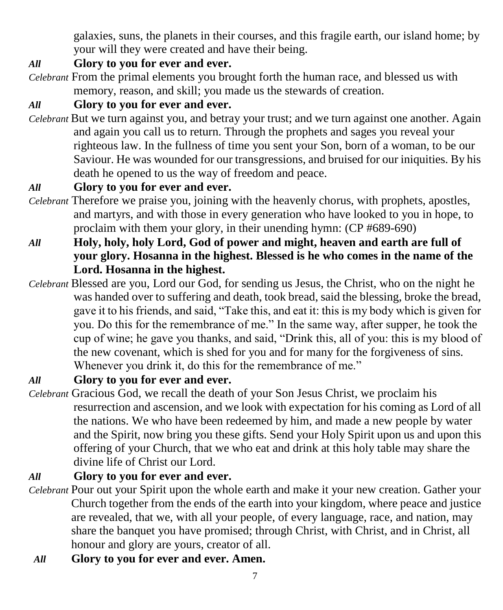galaxies, suns, the planets in their courses, and this fragile earth, our island home; by your will they were created and have their being.

# *All* **Glory to you for ever and ever.**

*Celebrant* From the primal elements you brought forth the human race, and blessed us with memory, reason, and skill; you made us the stewards of creation.

# *All* **Glory to you for ever and ever.**

*Celebrant* But we turn against you, and betray your trust; and we turn against one another. Again and again you call us to return. Through the prophets and sages you reveal your righteous law. In the fullness of time you sent your Son, born of a woman, to be our Saviour. He was wounded for our transgressions, and bruised for our iniquities. By his death he opened to us the way of freedom and peace.

# *All* **Glory to you for ever and ever.**

- *Celebrant* Therefore we praise you, joining with the heavenly chorus, with prophets, apostles, and martyrs, and with those in every generation who have looked to you in hope, to proclaim with them your glory, in their unending hymn: (CP #689-690)
- *All* **Holy, holy, holy Lord, God of power and might, heaven and earth are full of your glory. Hosanna in the highest. Blessed is he who comes in the name of the Lord. Hosanna in the highest.**
- *Celebrant* Blessed are you, Lord our God, for sending us Jesus, the Christ, who on the night he was handed over to suffering and death, took bread, said the blessing, broke the bread, gave it to his friends, and said, "Take this, and eat it: this is my body which is given for you. Do this for the remembrance of me." In the same way, after supper, he took the cup of wine; he gave you thanks, and said, "Drink this, all of you: this is my blood of the new covenant, which is shed for you and for many for the forgiveness of sins. Whenever you drink it, do this for the remembrance of me."

# *All* **Glory to you for ever and ever.**

*Celebrant* Gracious God, we recall the death of your Son Jesus Christ, we proclaim his resurrection and ascension, and we look with expectation for his coming as Lord of all the nations. We who have been redeemed by him, and made a new people by water and the Spirit, now bring you these gifts. Send your Holy Spirit upon us and upon this offering of your Church, that we who eat and drink at this holy table may share the divine life of Christ our Lord.

# *All* **Glory to you for ever and ever.**

- *Celebrant* Pour out your Spirit upon the whole earth and make it your new creation. Gather your Church together from the ends of the earth into your kingdom, where peace and justice are revealed, that we, with all your people, of every language, race, and nation, may share the banquet you have promised; through Christ, with Christ, and in Christ, all honour and glory are yours, creator of all.
- *All* **Glory to you for ever and ever. Amen.**